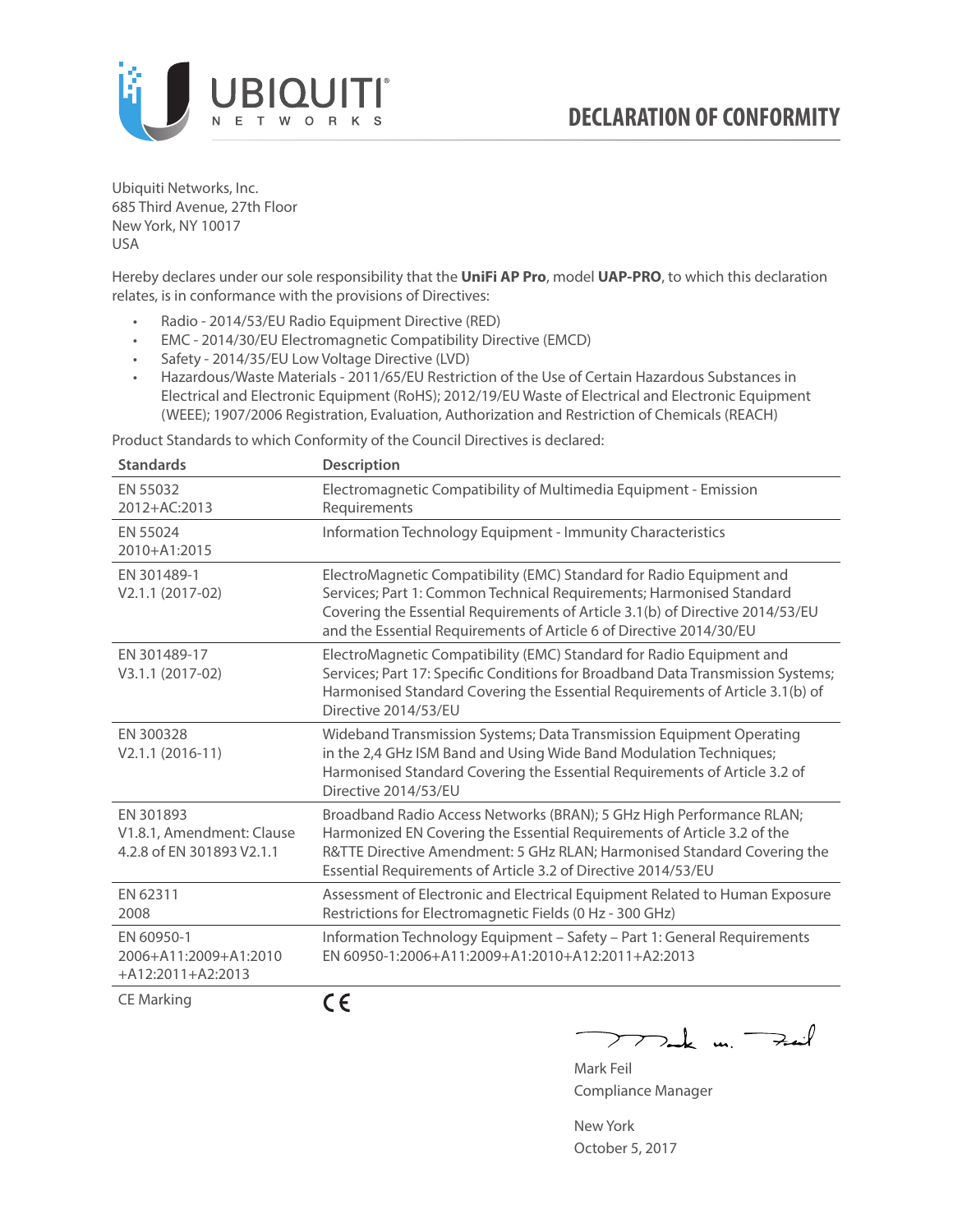

Ubiquiti Networks, Inc. 685 Third Avenue, 27th Floor New York, NY 10017 USA

Hereby declares under our sole responsibility that the **UniFi AP Pro**, model **UAP-PRO**, to which this declaration relates, is in conformance with the provisions of Directives:

- Radio 2014/53/EU Radio Equipment Directive (RED)
- EMC 2014/30/EU Electromagnetic Compatibility Directive (EMCD)
- Safety 2014/35/EU Low Voltage Directive (LVD)
- Hazardous/Waste Materials 2011/65/EU Restriction of the Use of Certain Hazardous Substances in Electrical and Electronic Equipment (RoHS); 2012/19/EU Waste of Electrical and Electronic Equipment (WEEE); 1907/2006 Registration, Evaluation, Authorization and Restriction of Chemicals (REACH)

Product Standards to which Conformity of the Council Directives is declared:

| <b>Standards</b>                                                    | <b>Description</b>                                                                                                                                                                                                                                                                                   |
|---------------------------------------------------------------------|------------------------------------------------------------------------------------------------------------------------------------------------------------------------------------------------------------------------------------------------------------------------------------------------------|
| EN 55032<br>2012+AC:2013                                            | Electromagnetic Compatibility of Multimedia Equipment - Emission<br>Requirements                                                                                                                                                                                                                     |
| EN 55024<br>2010+A1:2015                                            | Information Technology Equipment - Immunity Characteristics                                                                                                                                                                                                                                          |
| EN 301489-1<br>V2.1.1 (2017-02)                                     | ElectroMagnetic Compatibility (EMC) Standard for Radio Equipment and<br>Services; Part 1: Common Technical Requirements; Harmonised Standard<br>Covering the Essential Requirements of Article 3.1(b) of Directive 2014/53/EU<br>and the Essential Requirements of Article 6 of Directive 2014/30/EU |
| FN 301489-17<br>V3.1.1 (2017-02)                                    | ElectroMagnetic Compatibility (EMC) Standard for Radio Equipment and<br>Services; Part 17: Specific Conditions for Broadband Data Transmission Systems;<br>Harmonised Standard Covering the Essential Requirements of Article 3.1(b) of<br>Directive 2014/53/EU                                      |
| EN 300328<br>$V2.1.1 (2016-11)$                                     | Wideband Transmission Systems; Data Transmission Equipment Operating<br>in the 2,4 GHz ISM Band and Using Wide Band Modulation Techniques;<br>Harmonised Standard Covering the Essential Requirements of Article 3.2 of<br>Directive 2014/53/EU                                                      |
| EN 301893<br>V1.8.1, Amendment: Clause<br>4.2.8 of EN 301893 V2.1.1 | Broadband Radio Access Networks (BRAN); 5 GHz High Performance RLAN;<br>Harmonized EN Covering the Essential Requirements of Article 3.2 of the<br>R&TTE Directive Amendment: 5 GHz RLAN; Harmonised Standard Covering the<br>Essential Requirements of Article 3.2 of Directive 2014/53/EU          |
| EN 62311<br>2008                                                    | Assessment of Electronic and Electrical Equipment Related to Human Exposure<br>Restrictions for Electromagnetic Fields (0 Hz - 300 GHz)                                                                                                                                                              |
| EN 60950-1<br>2006+A11:2009+A1:2010<br>$+A12:2011+A2:2013$          | Information Technology Equipment - Safety - Part 1: General Requirements<br>EN 60950-1:2006+A11:2009+A1:2010+A12:2011+A2:2013                                                                                                                                                                        |
| <b>CE Marking</b>                                                   | CE                                                                                                                                                                                                                                                                                                   |

 $\nabla$ ak m $\rightarrow$ 

Mark Feil Compliance Manager

New York October 5, 2017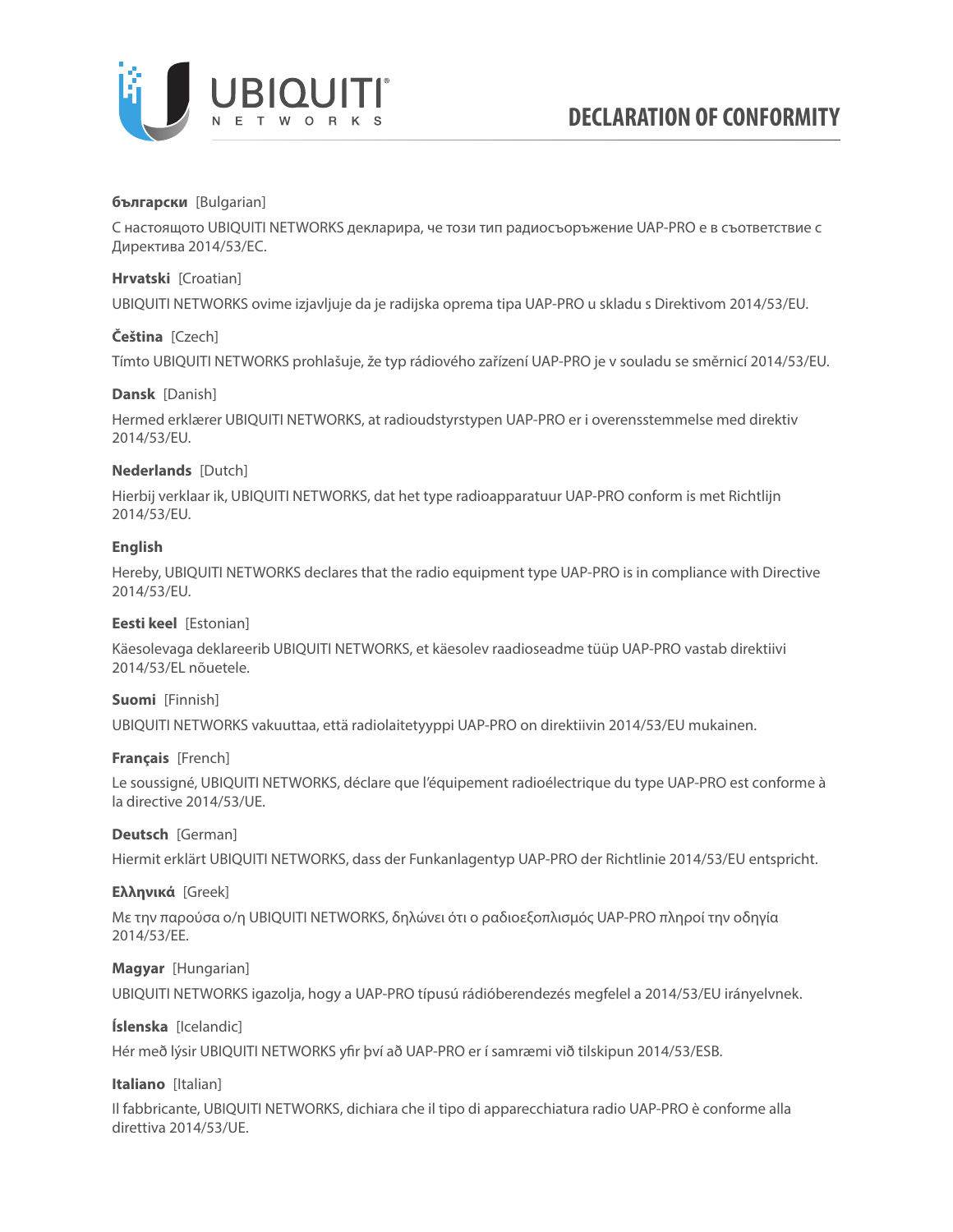

### **български** [Bulgarian]

С настоящото UBIQUITI NETWORKS декларира, че този тип радиосъоръжение UAP-PRO е в съответствие с Директива 2014/53/ЕС.

### **Hrvatski** [Croatian]

UBIQUITI NETWORKS ovime izjavljuje da je radijska oprema tipa UAP-PRO u skladu s Direktivom 2014/53/EU.

# **Čeština** [Czech]

Tímto UBIQUITI NETWORKS prohlašuje, že typ rádiového zařízení UAP-PRO je v souladu se směrnicí 2014/53/EU.

### **Dansk** [Danish]

Hermed erklærer UBIQUITI NETWORKS, at radioudstyrstypen UAP-PRO er i overensstemmelse med direktiv 2014/53/EU.

# **Nederlands** [Dutch]

Hierbij verklaar ik, UBIQUITI NETWORKS, dat het type radioapparatuur UAP-PRO conform is met Richtlijn 2014/53/EU.

# **English**

Hereby, UBIQUITI NETWORKS declares that the radio equipment type UAP-PRO is in compliance with Directive 2014/53/EU.

### **Eesti keel** [Estonian]

Käesolevaga deklareerib UBIQUITI NETWORKS, et käesolev raadioseadme tüüp UAP-PRO vastab direktiivi 2014/53/EL nõuetele.

### **Suomi** [Finnish]

UBIQUITI NETWORKS vakuuttaa, että radiolaitetyyppi UAP-PRO on direktiivin 2014/53/EU mukainen.

### **Français** [French]

Le soussigné, UBIQUITI NETWORKS, déclare que l'équipement radioélectrique du type UAP-PRO est conforme à la directive 2014/53/UE.

### **Deutsch** [German]

Hiermit erklärt UBIQUITI NETWORKS, dass der Funkanlagentyp UAP-PRO der Richtlinie 2014/53/EU entspricht.

### **Ελληνικά** [Greek]

Με την παρούσα ο/η UBIQUITI NETWORKS, δηλώνει ότι ο ραδιοεξοπλισμός UAP-PRO πληροί την οδηγία 2014/53/ΕΕ.

### **Magyar** [Hungarian]

UBIQUITI NETWORKS igazolja, hogy a UAP-PRO típusú rádióberendezés megfelel a 2014/53/EU irányelvnek.

# **Íslenska** [Icelandic]

Hér með lýsir UBIQUITI NETWORKS yfir því að UAP-PRO er í samræmi við tilskipun 2014/53/ESB.

### **Italiano** [Italian]

Il fabbricante, UBIQUITI NETWORKS, dichiara che il tipo di apparecchiatura radio UAP-PRO è conforme alla direttiva 2014/53/UE.